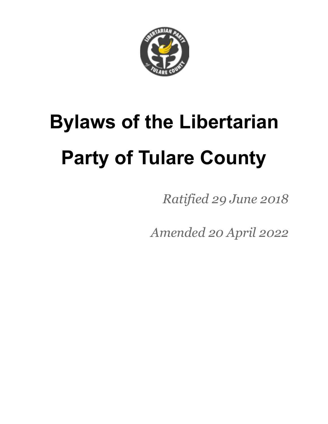

# **Bylaws of the Libertarian Party of Tulare County**

*Ratified 29 June 2018*

*Amended 20 April 2022*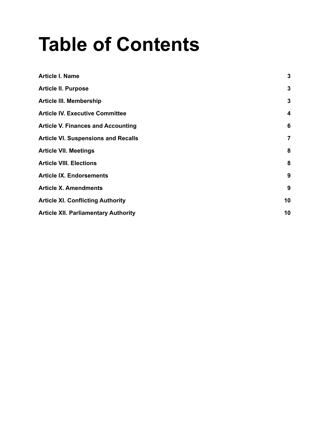## **Table of Contents**

| <b>Article I. Name</b>                      | 3  |
|---------------------------------------------|----|
| <b>Article II. Purpose</b>                  | 3  |
| <b>Article III. Membership</b>              | 3  |
| <b>Article IV. Executive Committee</b>      | 4  |
| <b>Article V. Finances and Accounting</b>   | 6  |
| <b>Article VI. Suspensions and Recalls</b>  | 7  |
| <b>Article VII. Meetings</b>                | 8  |
| <b>Article VIII. Elections</b>              | 8  |
| <b>Article IX. Endorsements</b>             | 9  |
| <b>Article X. Amendments</b>                | 9  |
| <b>Article XI. Conflicting Authority</b>    | 10 |
| <b>Article XII. Parliamentary Authority</b> | 10 |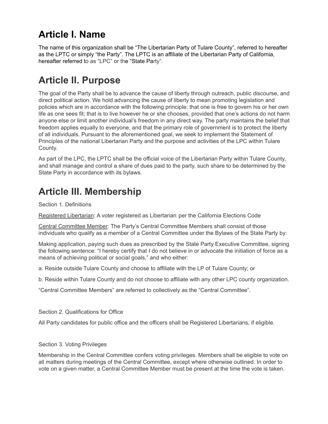## <span id="page-2-0"></span>**Article I. Name**

The name of this organization shall be "The Libertarian Party of Tulare County", referred to hereafter as the LPTC or simply "the Party". The LPTC is an affiliate of the Libertarian Party of California, hereafter referred to as "LPC" or the "State Party".

## <span id="page-2-1"></span>**Article II. Purpose**

The goal of the Party shall be to advance the cause of liberty through outreach, public discourse, and direct political action. We hold advancing the cause of liberty to mean promoting legislation and policies which are in accordance with the following principle: that one is free to govern his or her own life as one sees fit; that is to live however he or she chooses, provided that one's actions do not harm anyone else or limit another individual's freedom in any direct way. The party maintains the belief that freedom applies equally to everyone, and that the primary role of government is to protect the liberty of all individuals. Pursuant to the aforementioned goal, we seek to implement the Statement of Principles of the national Libertarian Party and the purpose and activities of the LPC within Tulare County.

As part of the LPC, the LPTC shall be the official voice of the Libertarian Party within Tulare County, and shall manage and control a share of dues paid to the party, such share to be determined by the State Party in accordance with its bylaws.

## <span id="page-2-2"></span>**Article III. Membership**

Section 1. Definitions

Registered Libertarian: A voter registered as Libertarian per the California Elections Code

Central Committee Member: The Party's Central Committee Members shall consist of those individuals who qualify as a member of a Central Committee under the Bylaws of the State Party by:

Making application, paying such dues as prescribed by the State Party Executive Committee, signing the following sentence: "I hereby certify that I do not believe in or advocate the initiation of force as a means of achieving political or social goals," and who either:

a. Reside outside Tulare County and choose to affiliate with the LP of Tulare County; or

b. Reside within Tulare County and do not choose to affiliate with any other LPC county organization.

"Central Committee Members" are referred to collectively as the "Central Committee".

Section 2. Qualifications for Office

All Party candidates for public office and the officers shall be Registered Libertarians, if eligible.

Section 3. Voting Privileges

Membership in the Central Committee confers voting privileges. Members shall be eligible to vote on all matters during meetings of the Central Committee, except where otherwise outlined. In order to vote on a given matter, a Central Committee Member must be present at the time the vote is taken.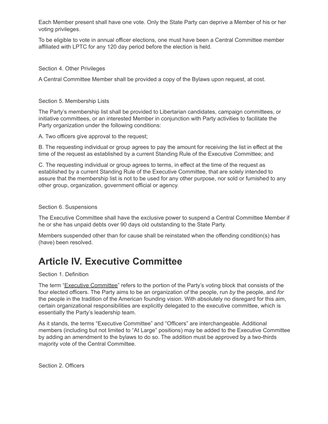Each Member present shall have one vote. Only the State Party can deprive a Member of his or her voting privileges.

To be eligible to vote in annual officer elections, one must have been a Central Committee member affiliated with LPTC for any 120 day period before the election is held.

#### Section 4. Other Privileges

A Central Committee Member shall be provided a copy of the Bylaws upon request, at cost.

#### Section 5. Membership Lists

The Party's membership list shall be provided to Libertarian candidates, campaign committees, or initiative committees, or an interested Member in conjunction with Party activities to facilitate the Party organization under the following conditions:

A. Two officers give approval to the request;

B. The requesting individual or group agrees to pay the amount for receiving the list in effect at the time of the request as established by a current Standing Rule of the Executive Committee; and

C. The requesting individual or group agrees to terms, in effect at the time of the request as established by a current Standing Rule of the Executive Committee, that are solely intended to assure that the membership list is not to be used for any other purpose, nor sold or furnished to any other group, organization, government official or agency.

#### Section 6. Suspensions

The Executive Committee shall have the exclusive power to suspend a Central Committee Member if he or she has unpaid debts over 90 days old outstanding to the State Party.

Members suspended other than for cause shall be reinstated when the offending condition(s) has (have) been resolved.

## <span id="page-3-0"></span>**Article IV. Executive Committee**

#### Section 1. Definition

The term "Executive Committee" refers to the portion of the Party's voting block that consists of the four elected officers. The Party aims to be an organization *of* the people, run *by* the people, and *for* the people in the tradition of the American founding vision. With absolutely no disregard for this aim, certain organizational responsibilities are explicitly delegated to the executive committee, which is essentially the Party's leadership team.

As it stands, the terms "Executive Committee" and "Officers" are interchangeable. Additional members (including but not limited to "At Large" positions) may be added to the Executive Committee by adding an amendment to the bylaws to do so. The addition must be approved by a two-thirds majority vote of the Central Committee.

Section 2. Officers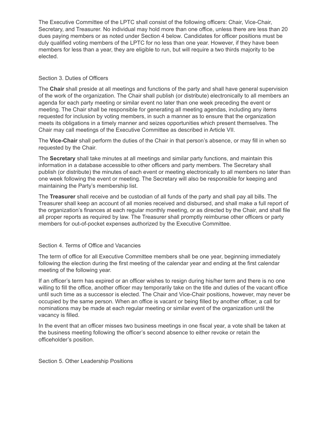The Executive Committee of the LPTC shall consist of the following officers: Chair, Vice-Chair, Secretary, and Treasurer. No individual may hold more than one office, unless there are less than 20 dues paying members or as noted under [Section 4 below.](http://www.lpsf.org/bylaws#sec.terms) Candidates for officer positions must be duly qualified voting members of the LPTC for no less than one year. However, if they have been members for less than a year, they are eligible to run, but will require a two thirds majority to be elected.

#### Section 3. Duties of Officers

The **Chair** shall preside at all meetings and functions of the party and shall have general supervision of the work of the organization. The Chair shall publish (or distribute) electronically to all members an agenda for each party meeting or similar event no later than one week preceding the event or meeting. The Chair shall be responsible for generating all meeting agendas, including any items requested for inclusion by voting members, in such a manner as to ensure that the organization meets its obligations in a timely manner and seizes opportunities which present themselves. The Chair may call meetings of the Executive Committee as described in Article VII.

The **Vice-Chair** shall perform the duties of the Chair in that person's absence, or may fill in when so requested by the Chair.

The **Secretary** shall take minutes at all meetings and similar party functions, and maintain this information in a database accessible to other officers and party members. The Secretary shall publish (or distribute) the minutes of each event or meeting electronically to all members no later than one week following the event or meeting. The Secretary will also be responsible for keeping and maintaining the Party's membership list.

The **Treasurer** shall receive and be custodian of all funds of the party and shall pay all bills. The Treasurer shall keep an account of all monies received and disbursed, and shall make a full report of the organization's finances at each regular monthly meeting, or as directed by the Chair, and shall file all proper reports as required by law. The Treasurer shall promptly reimburse other officers or party members for out-of-pocket expenses authorized by the Executive Committee.

#### Section 4. Terms of Office and Vacancies

The term of office for all Executive Committee members shall be one year, beginning immediately following the election during the first meeting of the calendar year and ending at the first calendar meeting of the following year.

If an officer's term has expired or an officer wishes to resign during his/her term and there is no one willing to fill the office, another officer may temporarily take on the title and duties of the vacant office until such time as a successor is elected. The Chair and Vice-Chair positions, however, may never be occupied by the same person. When an office is vacant or being filled by another officer, a call for nominations may be made at each regular meeting or similar event of the organization until the vacancy is filled.

In the event that an officer misses two business meetings in one fiscal year, a vote shall be taken at the business meeting following the officer's second absence to either revoke or retain the officeholder's position.

Section 5. Other Leadership Positions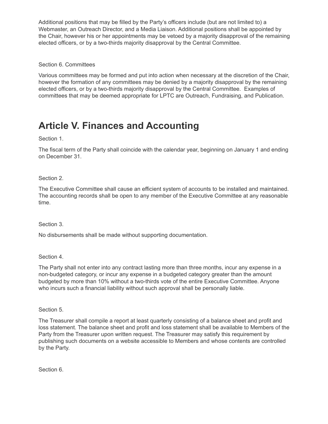Additional positions that may be filled by the Party's officers include (but are not limited to) a Webmaster, an Outreach Director, and a Media Liaison. Additional positions shall be appointed by the Chair, however his or her appointments may be vetoed by a majority disapproval of the remaining elected officers, or by a two-thirds majority disapproval by the Central Committee.

### Section 6. Committees

Various committees may be formed and put into action when necessary at the discretion of the Chair, however the formation of any committees may be denied by a majority disapproval by the remaining elected officers, or by a two-thirds majority disapproval by the Central Committee. Examples of committees that may be deemed appropriate for LPTC are Outreach, Fundraising, and Publication.

## <span id="page-5-0"></span>**Article V. Finances and Accounting**

Section 1.

The fiscal term of the Party shall coincide with the calendar year, beginning on January 1 and ending on December 31.

Section 2.

The Executive Committee shall cause an efficient system of accounts to be installed and maintained. The accounting records shall be open to any member of the Executive Committee at any reasonable time.

Section 3.

No disbursements shall be made without supporting documentation.

Section 4.

The Party shall not enter into any contract lasting more than three months, incur any expense in a non-budgeted category, or incur any expense in a budgeted category greater than the amount budgeted by more than 10% without a two-thirds vote of the entire Executive Committee. Anyone who incurs such a financial liability without such approval shall be personally liable.

Section 5.

The Treasurer shall compile a report at least quarterly consisting of a balance sheet and profit and loss statement. The balance sheet and profit and loss statement shall be available to Members of the Party from the Treasurer upon written request. The Treasurer may satisfy this requirement by publishing such documents on a website accessible to Members and whose contents are controlled by the Party.

Section 6.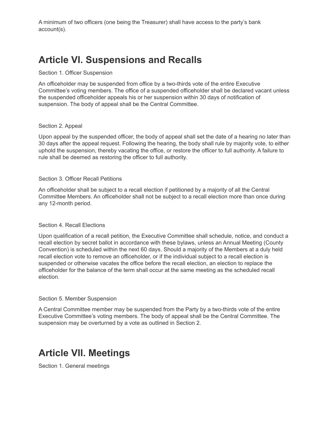A minimum of two officers (one being the Treasurer) shall have access to the party's bank account(s).

## <span id="page-6-0"></span>**Article VI. Suspensions and Recalls**

#### Section 1. Officer Suspension

An officeholder may be suspended from office by a two-thirds vote of the entire Executive Committee's voting members. The office of a suspended officeholder shall be declared vacant unless the suspended officeholder appeals his or her suspension within 30 days of notification of suspension. The body of appeal shall be the Central Committee.

#### Section 2. Appeal

Upon appeal by the suspended officer, the body of appeal shall set the date of a hearing no later than 30 days after the appeal request. Following the hearing, the body shall rule by majority vote, to either uphold the suspension, thereby vacating the office, or restore the officer to full authority. A failure to rule shall be deemed as restoring the officer to full authority.

#### Section 3. Officer Recall Petitions

An officeholder shall be subject to a recall election if petitioned by a majority of all the Central Committee Members. An officeholder shall not be subject to a recall election more than once during any 12-month period.

#### Section 4. Recall Elections

Upon qualification of a recall petition, the Executive Committee shall schedule, notice, and conduct a recall election by secret ballot in accordance with these bylaws, unless an Annual Meeting (County Convention) is scheduled within the next 60 days. Should a majority of the Members at a duly held recall election vote to remove an officeholder, or if the individual subject to a recall election is suspended or otherwise vacates the office before the recall election, an election to replace the officeholder for the balance of the term shall occur at the same meeting as the scheduled recall election.

#### Section 5. Member Suspension

A Central Committee member may be suspended from the Party by a two-thirds vote of the entire Executive Committee's voting members. The body of appeal shall be the Central Committee. The suspension may be overturned by a vote as outlined in Section 2.

## <span id="page-6-1"></span>**Article VII. Meetings**

Section 1. General meetings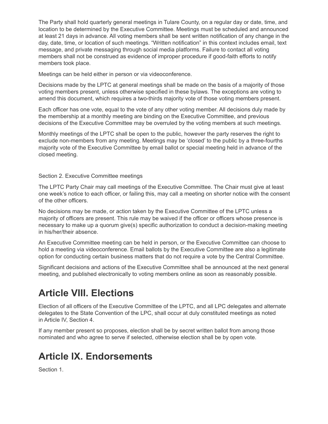The Party shall hold quarterly general meetings in Tulare County, on a regular day or date, time, and location to be determined by the Executive Committee. Meetings must be scheduled and announced at least 21 days in advance. All voting members shall be sent written notification of any change in the day, date, time, or location of such meetings. "Written notification" in this context includes email, text message, and private messaging through social media platforms. Failure to contact all voting members shall not be construed as evidence of improper procedure if good-faith efforts to notify members took place.

Meetings can be held either in person or via videoconference.

Decisions made by the LPTC at general meetings shall be made on the basis of a majority of those voting members present, unless otherwise specified in these bylaws. The exceptions are voting to amend this document, which requires a two-thirds majority vote of those voting members present.

Each officer has one vote, equal to the vote of any other voting member. All decisions duly made by the membership at a monthly meeting are binding on the Executive Committee, and previous decisions of the Executive Committee may be overruled by the voting members at such meetings.

Monthly meetings of the LPTC shall be open to the public, however the party reserves the right to exclude non-members from any meeting. Meetings may be 'closed' to the public by a three-fourths majority vote of the Executive Committee by email ballot or special meeting held in advance of the closed meeting.

#### Section 2. Executive Committee meetings

The LPTC Party Chair may call meetings of the Executive Committee. The Chair must give at least one week's notice to each officer, or failing this, may call a meeting on shorter notice with the consent of the other officers.

No decisions may be made, or action taken by the Executive Committee of the LPTC unless a majority of officers are present. This rule may be waived if the officer or officers whose presence is necessary to make up a quorum give(s) specific authorization to conduct a decision-making meeting in his/her/their absence.

An Executive Committee meeting can be held in person, or the Executive Committee can choose to hold a meeting via videoconference. Email ballots by the Executive Committee are also a legitimate option for conducting certain business matters that do not require a vote by the Central Committee.

Significant decisions and actions of the Executive Committee shall be announced at the next general meeting, and published electronically to voting members online as soon as reasonably possible.

## <span id="page-7-0"></span>**Article VIII. Elections**

Election of all officers of the Executive Committee of the LPTC, and all LPC delegates and alternate delegates to the State Convention of the LPC, shall occur at duly constituted meetings as noted in Article IV, Section 4.

If any member present so proposes, election shall be by secret written ballot from among those nominated and who agree to serve if selected, otherwise election shall be by open vote.

## <span id="page-7-1"></span>**Article IX. Endorsements**

Section 1.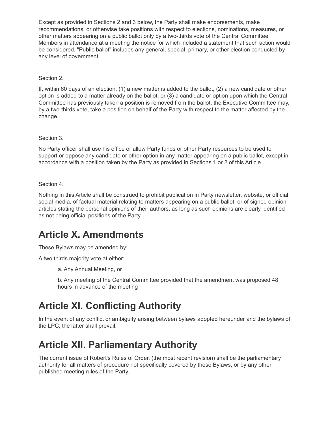Except as provided in Sections 2 and 3 below, the Party shall make endorsements, make recommendations, or otherwise take positions with respect to elections, nominations, measures, or other matters appearing on a public ballot only by a two-thirds vote of the Central Committee Members in attendance at a meeting the notice for which included a statement that such action would be considered. "Public ballot" includes any general, special, primary, or other election conducted by any level of government.

Section 2.

If, within 60 days of an election, (1) a new matter is added to the ballot, (2) a new candidate or other option is added to a matter already on the ballot, or (3) a candidate or option upon which the Central Committee has previously taken a position is removed from the ballot, the Executive Committee may, by a two-thirds vote, take a position on behalf of the Party with respect to the matter affected by the change.

Section 3.

No Party officer shall use his office or allow Party funds or other Party resources to be used to support or oppose any candidate or other option in any matter appearing on a public ballot, except in accordance with a position taken by the Party as provided in Sections 1 or 2 of this Article.

Section 4.

Nothing in this Article shall be construed to prohibit publication in Party newsletter, website, or official social media, of factual material relating to matters appearing on a public ballot, or of signed opinion articles stating the personal opinions of their authors, as long as such opinions are clearly identified as not being official positions of the Party.

## <span id="page-8-0"></span>**Article X. Amendments**

These Bylaws may be amended by:

A two thirds majority vote at either:

a. Any Annual Meeting, or

b. Any meeting of the Central Committee provided that the amendment was proposed 48 hours in advance of the meeting

## <span id="page-8-1"></span>**Article XI. Conflicting Authority**

In the event of any conflict or ambiguity arising between bylaws adopted hereunder and the bylaws of the LPC, the latter shall prevail.

## <span id="page-8-2"></span>**Article XII. Parliamentary Authority**

The current issue of Robert's Rules of Order, (the most recent revision) shall be the parliamentary authority for all matters of procedure not specifically covered by these Bylaws, or by any other published meeting rules of the Party.